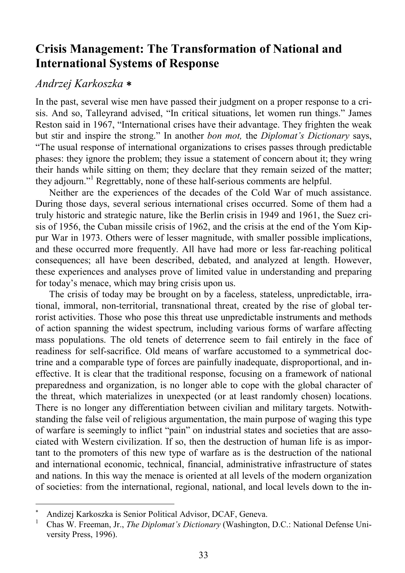# **Crisis Management: The Transformation of National and International Systems of Response**

## *Andrzej Karkoszka* ∗

In the past, several wise men have passed their judgment on a proper response to a crisis. And so, Talleyrand advised, "In critical situations, let women run things." James Reston said in 1967, "International crises have their advantage. They frighten the weak but stir and inspire the strong." In another *bon mot,* the *Diplomat's Dictionary* says, "The usual response of international organizations to crises passes through predictable phases: they ignore the problem; they issue a statement of concern about it; they wring their hands while sitting on them; they declare that they remain seized of the matter; they adjourn."<sup>1</sup> Regrettably, none of these half-serious comments are helpful.

Neither are the experiences of the decades of the Cold War of much assistance. During those days, several serious international crises occurred. Some of them had a truly historic and strategic nature, like the Berlin crisis in 1949 and 1961, the Suez crisis of 1956, the Cuban missile crisis of 1962, and the crisis at the end of the Yom Kippur War in 1973. Others were of lesser magnitude, with smaller possible implications, and these occurred more frequently. All have had more or less far-reaching political consequences; all have been described, debated, and analyzed at length. However, these experiences and analyses prove of limited value in understanding and preparing for today's menace, which may bring crisis upon us.

The crisis of today may be brought on by a faceless, stateless, unpredictable, irrational, immoral, non-territorial, transnational threat, created by the rise of global terrorist activities. Those who pose this threat use unpredictable instruments and methods of action spanning the widest spectrum, including various forms of warfare affecting mass populations. The old tenets of deterrence seem to fail entirely in the face of readiness for self-sacrifice. Old means of warfare accustomed to a symmetrical doctrine and a comparable type of forces are painfully inadequate, disproportional, and ineffective. It is clear that the traditional response, focusing on a framework of national preparedness and organization, is no longer able to cope with the global character of the threat, which materializes in unexpected (or at least randomly chosen) locations. There is no longer any differentiation between civilian and military targets. Notwithstanding the false veil of religious argumentation, the main purpose of waging this type of warfare is seemingly to inflict "pain" on industrial states and societies that are associated with Western civilization. If so, then the destruction of human life is as important to the promoters of this new type of warfare as is the destruction of the national and international economic, technical, financial, administrative infrastructure of states and nations. In this way the menace is oriented at all levels of the modern organization of societies: from the international, regional, national, and local levels down to the in-

l

<sup>∗</sup> Andizej Karkoszka is Senior Political Advisor, DCAF, Geneva.

<sup>1</sup> Chas W. Freeman, Jr., *The Diplomat's Dictionary* (Washington, D.C.: National Defense University Press, 1996).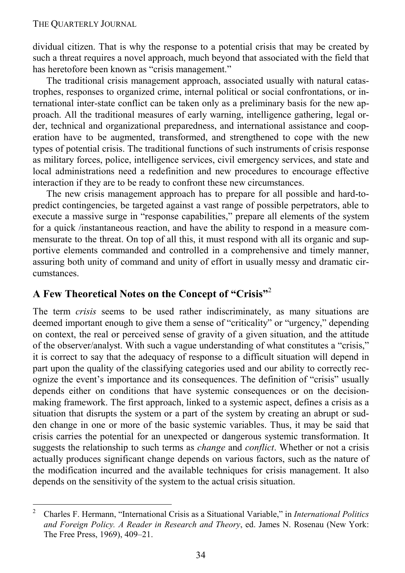dividual citizen. That is why the response to a potential crisis that may be created by such a threat requires a novel approach, much beyond that associated with the field that has heretofore been known as "crisis management."

The traditional crisis management approach, associated usually with natural catastrophes, responses to organized crime, internal political or social confrontations, or international inter-state conflict can be taken only as a preliminary basis for the new approach. All the traditional measures of early warning, intelligence gathering, legal order, technical and organizational preparedness, and international assistance and cooperation have to be augmented, transformed, and strengthened to cope with the new types of potential crisis. The traditional functions of such instruments of crisis response as military forces, police, intelligence services, civil emergency services, and state and local administrations need a redefinition and new procedures to encourage effective interaction if they are to be ready to confront these new circumstances.

The new crisis management approach has to prepare for all possible and hard-topredict contingencies, be targeted against a vast range of possible perpetrators, able to execute a massive surge in "response capabilities," prepare all elements of the system for a quick /instantaneous reaction, and have the ability to respond in a measure commensurate to the threat. On top of all this, it must respond with all its organic and supportive elements commanded and controlled in a comprehensive and timely manner, assuring both unity of command and unity of effort in usually messy and dramatic circumstances.

# **A Few Theoretical Notes on the Concept of "Crisis"**<sup>2</sup>

The term *crisis* seems to be used rather indiscriminately, as many situations are deemed important enough to give them a sense of "criticality" or "urgency," depending on context, the real or perceived sense of gravity of a given situation, and the attitude of the observer/analyst. With such a vague understanding of what constitutes a "crisis," it is correct to say that the adequacy of response to a difficult situation will depend in part upon the quality of the classifying categories used and our ability to correctly recognize the event's importance and its consequences. The definition of "crisis" usually depends either on conditions that have systemic consequences or on the decisionmaking framework. The first approach, linked to a systemic aspect, defines a crisis as a situation that disrupts the system or a part of the system by creating an abrupt or sudden change in one or more of the basic systemic variables. Thus, it may be said that crisis carries the potential for an unexpected or dangerous systemic transformation. It suggests the relationship to such terms as *change* and *conflict*. Whether or not a crisis actually produces significant change depends on various factors, such as the nature of the modification incurred and the available techniques for crisis management. It also depends on the sensitivity of the system to the actual crisis situation.

 $\frac{1}{2}$  Charles F. Hermann, "International Crisis as a Situational Variable," in *International Politics and Foreign Policy. A Reader in Research and Theory*, ed. James N. Rosenau (New York: The Free Press, 1969), 409–21.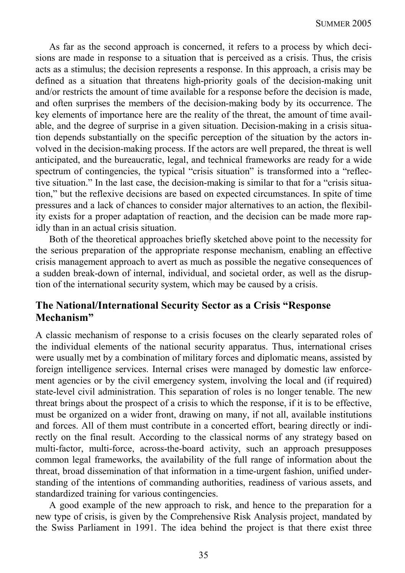As far as the second approach is concerned, it refers to a process by which decisions are made in response to a situation that is perceived as a crisis. Thus, the crisis acts as a stimulus; the decision represents a response. In this approach, a crisis may be defined as a situation that threatens high-priority goals of the decision-making unit and/or restricts the amount of time available for a response before the decision is made, and often surprises the members of the decision-making body by its occurrence. The key elements of importance here are the reality of the threat, the amount of time available, and the degree of surprise in a given situation. Decision-making in a crisis situation depends substantially on the specific perception of the situation by the actors involved in the decision-making process. If the actors are well prepared, the threat is well anticipated, and the bureaucratic, legal, and technical frameworks are ready for a wide spectrum of contingencies, the typical "crisis situation" is transformed into a "reflective situation." In the last case, the decision-making is similar to that for a "crisis situation," but the reflexive decisions are based on expected circumstances. In spite of time pressures and a lack of chances to consider major alternatives to an action, the flexibility exists for a proper adaptation of reaction, and the decision can be made more rapidly than in an actual crisis situation.

Both of the theoretical approaches briefly sketched above point to the necessity for the serious preparation of the appropriate response mechanism, enabling an effective crisis management approach to avert as much as possible the negative consequences of a sudden break-down of internal, individual, and societal order, as well as the disruption of the international security system, which may be caused by a crisis.

### **The National/International Security Sector as a Crisis "Response Mechanism"**

A classic mechanism of response to a crisis focuses on the clearly separated roles of the individual elements of the national security apparatus. Thus, international crises were usually met by a combination of military forces and diplomatic means, assisted by foreign intelligence services. Internal crises were managed by domestic law enforcement agencies or by the civil emergency system, involving the local and (if required) state-level civil administration. This separation of roles is no longer tenable. The new threat brings about the prospect of a crisis to which the response, if it is to be effective, must be organized on a wider front, drawing on many, if not all, available institutions and forces. All of them must contribute in a concerted effort, bearing directly or indirectly on the final result. According to the classical norms of any strategy based on multi-factor, multi-force, across-the-board activity, such an approach presupposes common legal frameworks, the availability of the full range of information about the threat, broad dissemination of that information in a time-urgent fashion, unified understanding of the intentions of commanding authorities, readiness of various assets, and standardized training for various contingencies.

A good example of the new approach to risk, and hence to the preparation for a new type of crisis, is given by the Comprehensive Risk Analysis project, mandated by the Swiss Parliament in 1991. The idea behind the project is that there exist three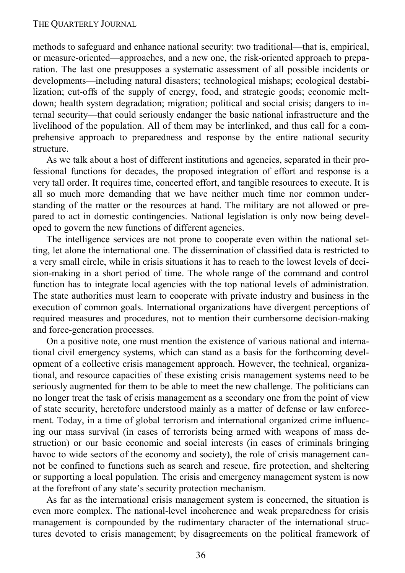methods to safeguard and enhance national security: two traditional—that is, empirical, or measure-oriented—approaches, and a new one, the risk-oriented approach to preparation. The last one presupposes a systematic assessment of all possible incidents or developments—including natural disasters; technological mishaps; ecological destabilization; cut-offs of the supply of energy, food, and strategic goods; economic meltdown; health system degradation; migration; political and social crisis; dangers to internal security—that could seriously endanger the basic national infrastructure and the livelihood of the population. All of them may be interlinked, and thus call for a comprehensive approach to preparedness and response by the entire national security structure.

As we talk about a host of different institutions and agencies, separated in their professional functions for decades, the proposed integration of effort and response is a very tall order. It requires time, concerted effort, and tangible resources to execute. It is all so much more demanding that we have neither much time nor common understanding of the matter or the resources at hand. The military are not allowed or prepared to act in domestic contingencies. National legislation is only now being developed to govern the new functions of different agencies.

The intelligence services are not prone to cooperate even within the national setting, let alone the international one. The dissemination of classified data is restricted to a very small circle, while in crisis situations it has to reach to the lowest levels of decision-making in a short period of time. The whole range of the command and control function has to integrate local agencies with the top national levels of administration. The state authorities must learn to cooperate with private industry and business in the execution of common goals. International organizations have divergent perceptions of required measures and procedures, not to mention their cumbersome decision-making and force-generation processes.

On a positive note, one must mention the existence of various national and international civil emergency systems, which can stand as a basis for the forthcoming development of a collective crisis management approach. However, the technical, organizational, and resource capacities of these existing crisis management systems need to be seriously augmented for them to be able to meet the new challenge. The politicians can no longer treat the task of crisis management as a secondary one from the point of view of state security, heretofore understood mainly as a matter of defense or law enforcement. Today, in a time of global terrorism and international organized crime influencing our mass survival (in cases of terrorists being armed with weapons of mass destruction) or our basic economic and social interests (in cases of criminals bringing havoc to wide sectors of the economy and society), the role of crisis management cannot be confined to functions such as search and rescue, fire protection, and sheltering or supporting a local population. The crisis and emergency management system is now at the forefront of any state's security protection mechanism.

As far as the international crisis management system is concerned, the situation is even more complex. The national-level incoherence and weak preparedness for crisis management is compounded by the rudimentary character of the international structures devoted to crisis management; by disagreements on the political framework of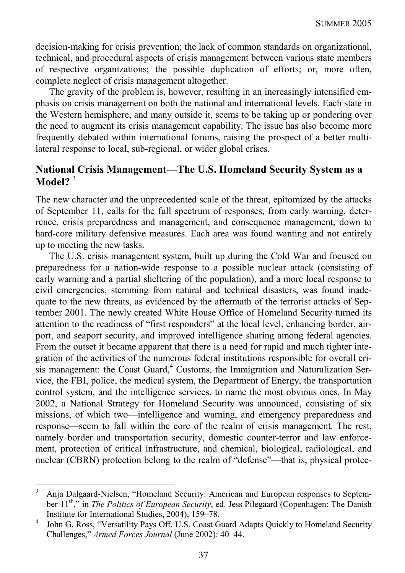decision-making for crisis prevention; the lack of common standards on organizational, technical, and procedural aspects of crisis management between various state members of respective organizations; the possible duplication of efforts; or, more often, complete neglect of crisis management altogether.

The gravity of the problem is, however, resulting in an increasingly intensified emphasis on crisis management on both the national and international levels. Each state in the Western hemisphere, and many outside it, seems to be taking up or pondering over the need to augment its crisis management capability. The issue has also become more frequently debated within international forums, raising the prospect of a better multilateral response to local, sub-regional, or wider global crises.

### **National Crisis Management—The U.S. Homeland Security System as a Model?** <sup>3</sup>

The new character and the unprecedented scale of the threat, epitomized by the attacks of September 11, calls for the full spectrum of responses, from early warning, deterrence, crisis preparedness and management, and consequence management, down to hard-core military defensive measures. Each area was found wanting and not entirely up to meeting the new tasks.

The U.S. crisis management system, built up during the Cold War and focused on preparedness for a nation-wide response to a possible nuclear attack (consisting of early warning and a partial sheltering of the population), and a more local response to civil emergencies, stemming from natural and technical disasters, was found inadequate to the new threats, as evidenced by the aftermath of the terrorist attacks of September 2001. The newly created White House Office of Homeland Security turned its attention to the readiness of "first responders" at the local level, enhancing border, airport, and seaport security, and improved intelligence sharing among federal agencies. From the outset it became apparent that there is a need for rapid and much tighter integration of the activities of the numerous federal institutions responsible for overall cri- $\overline{\phantom{a}}$  is management: the Coast Guard, $\overline{\phantom{a}}$  Customs, the Immigration and Naturalization Service, the FBI, police, the medical system, the Department of Energy, the transportation control system, and the intelligence services, to name the most obvious ones. In May 2002, a National Strategy for Homeland Security was announced, consisting of six missions, of which two—intelligence and warning, and emergency preparedness and response—seem to fall within the core of the realm of crisis management. The rest, namely border and transportation security, domestic counter-terror and law enforcement, protection of critical infrastructure, and chemical, biological, radiological, and nuclear (CBRN) protection belong to the realm of "defense"—that is, physical protec-

<sup>-&</sup>lt;br>3 Anja Dalgaard-Nielsen, "Homeland Security: American and European responses to September 11<sup>th</sup>," in *The Politics of European Security*, ed. Jess Pilegaard (Copenhagen: The Danish Institute for International Studies, 2004), 159–78. 4

John G. Ross, "Versatility Pays Off. U.S. Coast Guard Adapts Quickly to Homeland Security Challenges," *Armed Forces Journal* (June 2002): 40–44.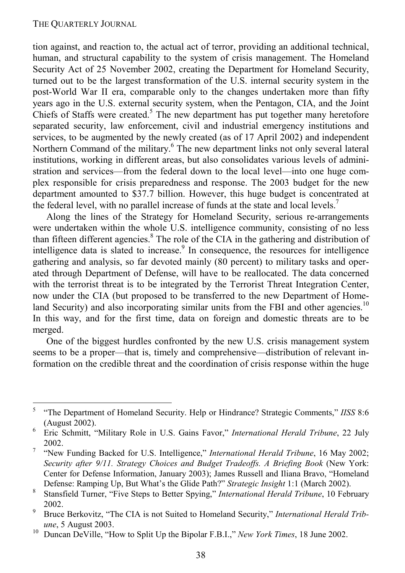tion against, and reaction to, the actual act of terror, providing an additional technical, human, and structural capability to the system of crisis management. The Homeland Security Act of 25 November 2002, creating the Department for Homeland Security, turned out to be the largest transformation of the U.S. internal security system in the post-World War II era, comparable only to the changes undertaken more than fifty years ago in the U.S. external security system, when the Pentagon, CIA, and the Joint Chiefs of Staffs were created.<sup>5</sup> The new department has put together many heretofore separated security, law enforcement, civil and industrial emergency institutions and services, to be augmented by the newly created (as of 17 April 2002) and independent Northern Command of the military.<sup>6</sup> The new department links not only several lateral institutions, working in different areas, but also consolidates various levels of administration and services—from the federal down to the local level—into one huge complex responsible for crisis preparedness and response. The 2003 budget for the new department amounted to \$37.7 billion. However, this huge budget is concentrated at the federal level, with no parallel increase of funds at the state and local levels.<sup>7</sup>

Along the lines of the Strategy for Homeland Security, serious re-arrangements were undertaken within the whole U.S. intelligence community, consisting of no less than fifteen different agencies.<sup>8</sup> The role of the CIA in the gathering and distribution of intelligence data is slated to increase.<sup>9</sup> In consequence, the resources for intelligence gathering and analysis, so far devoted mainly (80 percent) to military tasks and operated through Department of Defense, will have to be reallocated. The data concerned with the terrorist threat is to be integrated by the Terrorist Threat Integration Center, now under the CIA (but proposed to be transferred to the new Department of Homeland Security) and also incorporating similar units from the FBI and other agencies.<sup>10</sup> In this way, and for the first time, data on foreign and domestic threats are to be merged.

One of the biggest hurdles confronted by the new U.S. crisis management system seems to be a proper—that is, timely and comprehensive—distribution of relevant information on the credible threat and the coordination of crisis response within the huge

<sup>-&</sup>lt;br>5 "The Department of Homeland Security. Help or Hindrance? Strategic Comments," *IISS* 8:6 (August 2002). 6 Eric Schmitt, "Military Role in U.S. Gains Favor," *International Herald Tribune*, 22 July

 $\frac{2002}{7}$ .

 <sup>&</sup>quot;New Funding Backed for U.S. Intelligence," *International Herald Tribune*, 16 May 2002; *Security after 9/11. Strategy Choices and Budget Tradeoffs. A Briefing Book* (New York: Center for Defense Information, January 2003); James Russell and Iliana Bravo, "Homeland Defense: Ramping Up, But What's the Glide Path?" *Strategic Insight* 1:1 (March 2002). 8

Stansfield Turner, "Five Steps to Better Spying," *International Herald Tribune*, 10 February 2002.

Bruce Berkovitz, "The CIA is not Suited to Homeland Security," *International Herald Tribune*, 5 August 2003.<br><sup>10</sup> Duncan DeVille, "How to Split Up the Bipolar F.B.I.," *New York Times*, 18 June 2002.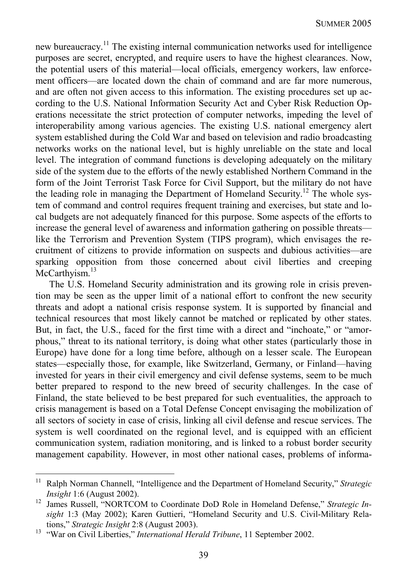new bureaucracy.11 The existing internal communication networks used for intelligence purposes are secret, encrypted, and require users to have the highest clearances. Now, the potential users of this material—local officials, emergency workers, law enforcement officers—are located down the chain of command and are far more numerous, and are often not given access to this information. The existing procedures set up according to the U.S. National Information Security Act and Cyber Risk Reduction Operations necessitate the strict protection of computer networks, impeding the level of interoperability among various agencies. The existing U.S. national emergency alert system established during the Cold War and based on television and radio broadcasting networks works on the national level, but is highly unreliable on the state and local level. The integration of command functions is developing adequately on the military side of the system due to the efforts of the newly established Northern Command in the form of the Joint Terrorist Task Force for Civil Support, but the military do not have the leading role in managing the Department of Homeland Security.<sup>12</sup> The whole system of command and control requires frequent training and exercises, but state and local budgets are not adequately financed for this purpose. Some aspects of the efforts to increase the general level of awareness and information gathering on possible threats like the Terrorism and Prevention System (TIPS program), which envisages the recruitment of citizens to provide information on suspects and dubious activities—are sparking opposition from those concerned about civil liberties and creeping McCarthvism.<sup>13</sup>

The U.S. Homeland Security administration and its growing role in crisis prevention may be seen as the upper limit of a national effort to confront the new security threats and adopt a national crisis response system. It is supported by financial and technical resources that most likely cannot be matched or replicated by other states. But, in fact, the U.S., faced for the first time with a direct and "inchoate," or "amorphous," threat to its national territory, is doing what other states (particularly those in Europe) have done for a long time before, although on a lesser scale. The European states—especially those, for example, like Switzerland, Germany, or Finland—having invested for years in their civil emergency and civil defense systems, seem to be much better prepared to respond to the new breed of security challenges. In the case of Finland, the state believed to be best prepared for such eventualities, the approach to crisis management is based on a Total Defense Concept envisaging the mobilization of all sectors of society in case of crisis, linking all civil defense and rescue services. The system is well coordinated on the regional level, and is equipped with an efficient communication system, radiation monitoring, and is linked to a robust border security management capability. However, in most other national cases, problems of informa-

 $\overline{\phantom{a}}$ 

<sup>&</sup>lt;sup>11</sup> Ralph Norman Channell, "Intelligence and the Department of Homeland Security," *Strategic Insight* 1:6 (August 2002).<br><sup>12</sup> James Russell, "NORTCOM to Coordinate DoD Role in Homeland Defense," *Strategic In-*

*sight* 1:3 (May 2002); Karen Guttieri, "Homeland Security and U.S. Civil-Military Relations," *Strategic Insight* 2:8 (August 2003). 13 "War on Civil Liberties," *International Herald Tribune*, 11 September 2002.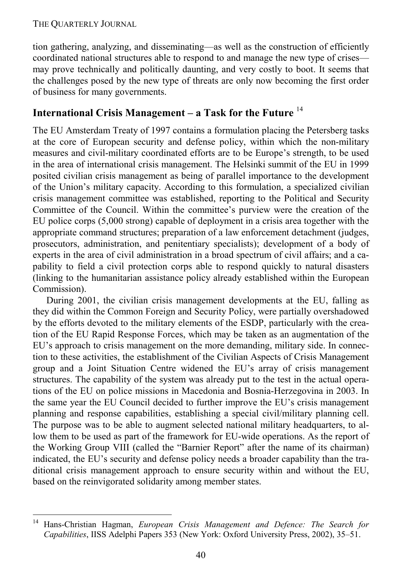1

tion gathering, analyzing, and disseminating—as well as the construction of efficiently coordinated national structures able to respond to and manage the new type of crises may prove technically and politically daunting, and very costly to boot. It seems that the challenges posed by the new type of threats are only now becoming the first order of business for many governments.

## **International Crisis Management – a Task for the Future** <sup>14</sup>

The EU Amsterdam Treaty of 1997 contains a formulation placing the Petersberg tasks at the core of European security and defense policy, within which the non-military measures and civil-military coordinated efforts are to be Europe's strength, to be used in the area of international crisis management. The Helsinki summit of the EU in 1999 posited civilian crisis management as being of parallel importance to the development of the Union's military capacity. According to this formulation, a specialized civilian crisis management committee was established, reporting to the Political and Security Committee of the Council. Within the committee's purview were the creation of the EU police corps (5,000 strong) capable of deployment in a crisis area together with the appropriate command structures; preparation of a law enforcement detachment (judges, prosecutors, administration, and penitentiary specialists); development of a body of experts in the area of civil administration in a broad spectrum of civil affairs; and a capability to field a civil protection corps able to respond quickly to natural disasters (linking to the humanitarian assistance policy already established within the European Commission).

During 2001, the civilian crisis management developments at the EU, falling as they did within the Common Foreign and Security Policy, were partially overshadowed by the efforts devoted to the military elements of the ESDP, particularly with the creation of the EU Rapid Response Forces, which may be taken as an augmentation of the EU's approach to crisis management on the more demanding, military side. In connection to these activities, the establishment of the Civilian Aspects of Crisis Management group and a Joint Situation Centre widened the EU's array of crisis management structures. The capability of the system was already put to the test in the actual operations of the EU on police missions in Macedonia and Bosnia-Herzegovina in 2003. In the same year the EU Council decided to further improve the EU's crisis management planning and response capabilities, establishing a special civil/military planning cell. The purpose was to be able to augment selected national military headquarters, to allow them to be used as part of the framework for EU-wide operations. As the report of the Working Group VIII (called the "Barnier Report" after the name of its chairman) indicated, the EU's security and defense policy needs a broader capability than the traditional crisis management approach to ensure security within and without the EU, based on the reinvigorated solidarity among member states.

<sup>14</sup> Hans-Christian Hagman, *European Crisis Management and Defence: The Search for Capabilities*, IISS Adelphi Papers 353 (New York: Oxford University Press, 2002), 35–51.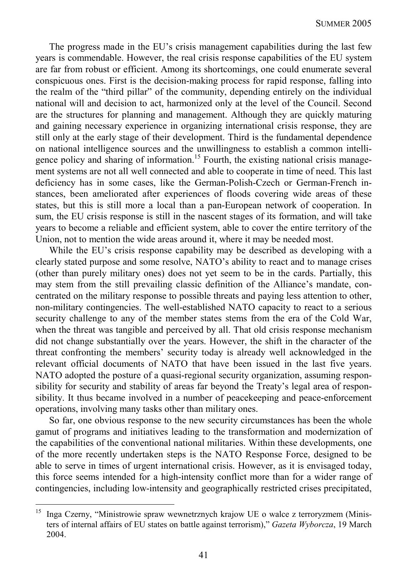The progress made in the EU's crisis management capabilities during the last few years is commendable. However, the real crisis response capabilities of the EU system are far from robust or efficient. Among its shortcomings, one could enumerate several conspicuous ones. First is the decision-making process for rapid response, falling into the realm of the "third pillar" of the community, depending entirely on the individual national will and decision to act, harmonized only at the level of the Council. Second are the structures for planning and management. Although they are quickly maturing and gaining necessary experience in organizing international crisis response, they are still only at the early stage of their development. Third is the fundamental dependence on national intelligence sources and the unwillingness to establish a common intelligence policy and sharing of information.<sup>15</sup> Fourth, the existing national crisis management systems are not all well connected and able to cooperate in time of need. This last deficiency has in some cases, like the German-Polish-Czech or German-French instances, been ameliorated after experiences of floods covering wide areas of these states, but this is still more a local than a pan-European network of cooperation. In sum, the EU crisis response is still in the nascent stages of its formation, and will take years to become a reliable and efficient system, able to cover the entire territory of the Union, not to mention the wide areas around it, where it may be needed most.

While the EU's crisis response capability may be described as developing with a clearly stated purpose and some resolve, NATO's ability to react and to manage crises (other than purely military ones) does not yet seem to be in the cards. Partially, this may stem from the still prevailing classic definition of the Alliance's mandate, concentrated on the military response to possible threats and paying less attention to other, non-military contingencies. The well-established NATO capacity to react to a serious security challenge to any of the member states stems from the era of the Cold War, when the threat was tangible and perceived by all. That old crisis response mechanism did not change substantially over the years. However, the shift in the character of the threat confronting the members' security today is already well acknowledged in the relevant official documents of NATO that have been issued in the last five years. NATO adopted the posture of a quasi-regional security organization, assuming responsibility for security and stability of areas far beyond the Treaty's legal area of responsibility. It thus became involved in a number of peacekeeping and peace-enforcement operations, involving many tasks other than military ones.

So far, one obvious response to the new security circumstances has been the whole gamut of programs and initiatives leading to the transformation and modernization of the capabilities of the conventional national militaries. Within these developments, one of the more recently undertaken steps is the NATO Response Force, designed to be able to serve in times of urgent international crisis. However, as it is envisaged today, this force seems intended for a high-intensity conflict more than for a wider range of contingencies, including low-intensity and geographically restricted crises precipitated,

<sup>15</sup> 15 Inga Czerny, "Ministrowie spraw wewnetrznych krajow UE o walce z terroryzmem (Ministers of internal affairs of EU states on battle against terrorism)," *Gazeta Wyborcza*, 19 March 2004.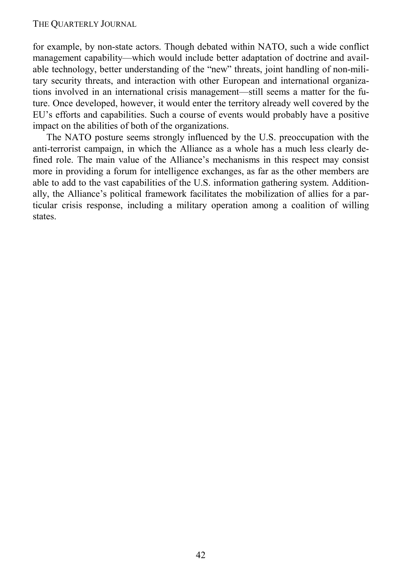for example, by non-state actors. Though debated within NATO, such a wide conflict management capability—which would include better adaptation of doctrine and available technology, better understanding of the "new" threats, joint handling of non-military security threats, and interaction with other European and international organizations involved in an international crisis management—still seems a matter for the future. Once developed, however, it would enter the territory already well covered by the EU's efforts and capabilities. Such a course of events would probably have a positive impact on the abilities of both of the organizations.

The NATO posture seems strongly influenced by the U.S. preoccupation with the anti-terrorist campaign, in which the Alliance as a whole has a much less clearly defined role. The main value of the Alliance's mechanisms in this respect may consist more in providing a forum for intelligence exchanges, as far as the other members are able to add to the vast capabilities of the U.S. information gathering system. Additionally, the Alliance's political framework facilitates the mobilization of allies for a particular crisis response, including a military operation among a coalition of willing states.